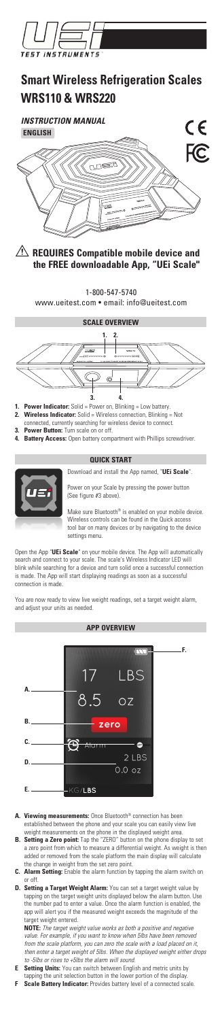*INSTRUCTION MANUAL*



1-800-547-5740 www.ueitest.com • email: info@ueitest.com



# **Smart Wireless Refrigeration Scales WRS110 & WRS220**

**REQUIRES Compatible mobile device and the FREE downloadable App, "UEi Scale"**

- **1. Power Indicator:** Solid = Power on, Blinking = Low battery.
- **2. Wireless Indicator:** Solid = Wireless connection, Blinking = Not
- connected, currently searching for wireless device to connect.
- **3. Power Button:** Turn scale on or off.
- **4. Battery Access:** Open battery compartment with Phillips screwdriver.



Download and install the App named, "**UEi Scale**".

Power on your Scale by pressing the power button (See figure #3 above).

Make sure Bluetooth® is enabled on your mobile device. Wireless controls can be found in the Quick access tool bar on many devices or by navigating to the device settings menu.

Open the App "**UEi Scale**" on your mobile device. The App will automatically search and connect to your scale. The scale's Wireless Indicator LED will blink while searching for a device and turn solid once a successful connection is made. The App will start displaying readings as soon as a successful connection is made.

You are now ready to view live weight readings, set a target weight alarm, and adjust your units as needed.



- **A. Viewing measurements:** Once Bluetooth® connection has been established between the phone and your scale you can easily view live weight measurements on the phone in the displayed weight area.
- **B. Setting a Zero point:** Tap the "ZERO" button on the phone display to set a zero point from which to measure a differential weight. As weight is then added or removed from the scale platform the main display will calculate the change in weight from the set zero point.
- **C. Alarm Setting:** Enable the alarm function by tapping the alarm switch on or off.
- **D. Setting a Target Weight Alarm:** You can set a target weight value by tapping on the target weight units displayed below the alarm button. Use the number pad to enter a value. Once the alarm function is enabled, the app will alert you if the measured weight exceeds the magnitude of the target weight entered.



**NOTE:** *The target weight value works as both a positive and negative value. For example, if you want to know when 5lbs have been removed from the scale platform, you can zero the scale with a load placed on it, then enter a target weight of 5lbs. When the displayed weight either drops to -5lbs or rises to +5lbs the alarm will sound.*

- **E Setting Units:** You can switch between English and metric units by tapping the unit selection button in the lower portion of the display.
- **F Scale Battery Indicator:** Provides battery level of a connected scale.